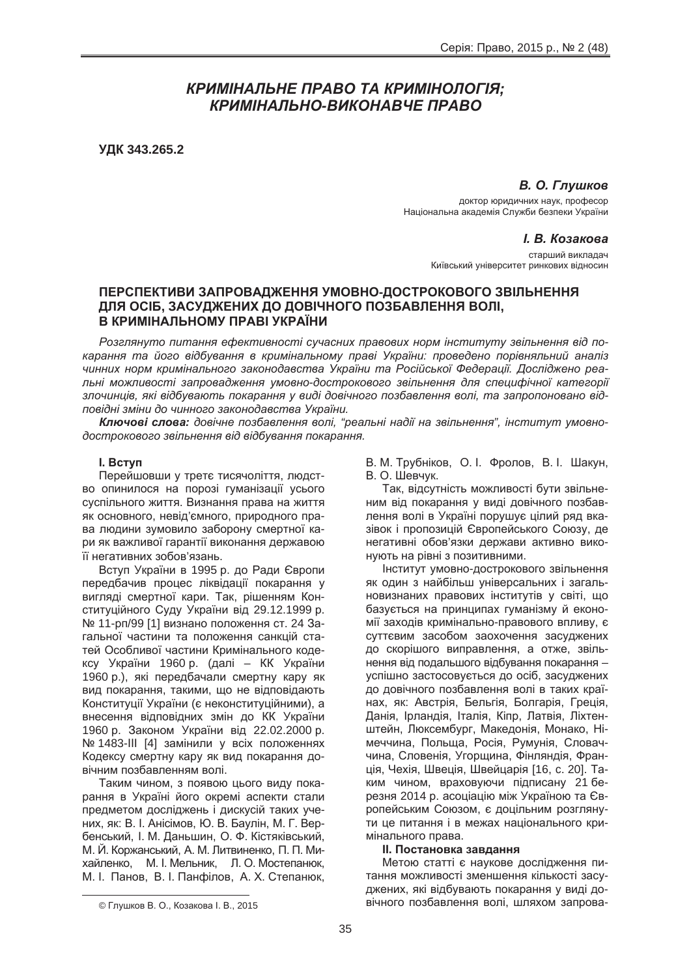# *ɄɊɂɆȱɇȺɅɖɇȿ ɉɊȺȼɈ ɌȺ ɄɊɂɆȱɇɈɅɈȽȱə; ɄɊɂɆȱɇȺɅɖɇɈ-ȼɂɄɈɇȺȼɑȿ ɉɊȺȼɈ*

**ɍȾɄ 343.265.2**

**В. О. Глушков** 

доктор юридичних наук, професор Національна академія Служби безпеки України

*L* В. Козакова

старший викладач Київський університет ринкових відносин

## ПЕРСПЕКТИВИ ЗАПРОВАДЖЕННЯ УМОВНО-ДОСТРОКОВОГО ЗВІЛЬНЕННЯ ДЛЯ ОСІБ, ЗАСУДЖЕНИХ ДО ДОВІЧНОГО ПОЗБАВЛЕННЯ ВОЛІ, **ȼ ɄɊɂɆȱɇȺɅɖɇɈɆɍ ɉɊȺȼȱ ɍɄɊȺȲɇɂ**

Розглянуто питання ефективності сучасних правових норм інституту звільнення від по*карання та його відбування в кримінальному праві України: проведено порівняльний аналіз* чинних норм кримінального законодавства України та Російської Федерації. Досліджено реальні можливості запровадження умовно-дострокового звільнення для специфічної категорії злочинців, які відбувають покарання у виді довічного позбавлення волі, та запропоновано відловідні зміни до чинного законодавства України.

Ключові слова: довічне позбавлення волі, "реальні надії на звільнення", інститут умовнодострокового звільнення від відбування покарання.

## **l.** Bctyn

Перейшовши у третє тисячоліття, людство опинилося на порозі гуманізації усього суспільного життя. Визнання права на життя як основного, невід'ємного, природного права людини зумовило заборону смертної кари як важливої гарантії виконання державою її негативних зобов'язань.

Вступ України в 1995 р. до Ради Європи передбачив процес ліквідації покарання у вигляді смертної кари. Так, рішенням Конституційного Суду України від 29.12.1999 р. № 11-рп/99 [1] визнано положення ст. 24 Загальної частини та положення санкцій статей Особливої частини Кримінального кодексу України 1960 р. (далі – КК України 1960 p.), які передбачали смертну кару як вид покарання, такими, що не відповідають Конституції України (є неконституційними), а внесення відповідних змін до КК України 1960 р. Законом України від 22.02.2000 р. № 1483-III [4] замінили у всіх положеннях Кодексу смертну кару як вид покарання довічним позбавленням волі.

Таким чином, з появою цього виду покарання в Україні його окремі аспекти стали предметом досліджень і дискусій таких учених, як: В. І. Анісімов, Ю. В. Баулін, М. Г. Вербенський. І. М. Даньшин. О. Ф. Кістяківський. М. Й. Коржанський. А. М. Литвиненко. П. П. Михайленко. М. І. Мельник. Л. О. Мостепанюк. М. І. Панов. В. І. Панфілов. А. Х. Степанюк.

В. М. Трубніков, О. І. Фролов, В. І. Шакун, В. О. Шевчук.

Так, відсутність можливості бути звільненим від покарання у виді довічного позбавлення волі в Україні порушує цілий ряд вказівок і пропозицій Європейського Союзу, де негативні обов'язки держави активно виконують на рівні з позитивними.

НСТИТУТ УМОВНО-ДОСТРОКОВОГО ЗВІЛЬНЕННЯ як один з найбільш үніверсальних і загальновизнаних правових інститутів у світі, що базується на принципах гуманізму й економії заходів кримінально-правового впливу, є суттєвим засобом заохочення засуджених до скорішого виправлення, а отже, звільнення від подальшого відбування покарання – успішно застосовується до осіб, засуджених до довічного позбавлення волі в таких країнах, як: Австрія, Бельгія, Болгарія, Греція, Данія, Ірландія, Італія, Кіпр, Латвія, Ліхтенштейн, Люксембург, Македонія, Монако, Німеччина, Польща, Росія, Румунія, Словаччина, Словенія, Угорщина, Фінляндія, Франція, Чехія, Швеція, Швейцарія [16, с. 20]. Таким чином, враховуючи підписану 21 березня 2014 p. acoціацію між Україною та Європейським Союзом, є доцільним розглянути це питання і в межах національного кримінального права.

#### **II. Постановка завдання**

Метою статті є наукове дослідження питання можливості зменшення кількості засуджених, які відбувають покарання у виді довічного позбавлення волі, шляхом запрова-

<sup>©</sup> Глушков В. О., Козакова І. В., 2015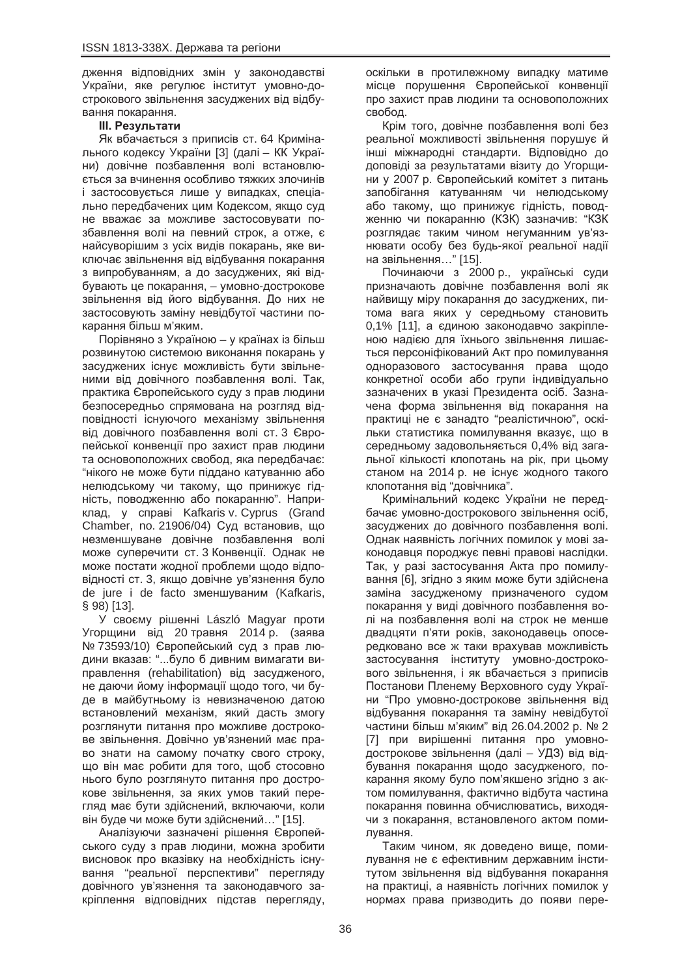дження відповідних змін у законодавстві України, яке регулює інститут умовно-дострокового звільнення засуджених від відбування покарання.

## **Ш. Результати**

Як вбачається з приписів ст. 64 Кримінального кодексу України [3] (далі – КК України) довічне позбавлення волі встановлюється за вчинення особливо тяжких злочинів і застосовується лише у випадках, спеціально передбачених цим Кодексом, якщо суд не вважає за можливе застосовувати позбавлення волі на певний строк, а отже, є найсуворішим з усіх видів покарань, яке виключає звільнення від відбування покарання з випробуванням, а до засуджених, які відбувають це покарання, – умовно-дострокове звільнення від його відбування. До них не застосовують заміну невідбутої частини покарання більш м'яким.

Порівняно з Україною – у країнах із більш розвинутою системою виконання покарань у засуджених існує можливість бути звільненими від довічного позбавлення волі. Так, практика Європейського суду з прав людини безпосередньо спрямована на розгляд відповідності існуючого механізму звільнення від довічного позбавлення волі ст. 3 Європейської конвенції про захист прав людини та основоположних свобод, яка передбачає: "нікого не може бути піддано катуванню або нелюдському чи такому, що принижує гідність, поводженню або покаранню". Наприклад, у справі Kafkaris v. Cyprus (Grand Chamber, no. 21906/04) Суд встановив, що незменшуване довічне позбавлення волі може суперечити ст. 3 Конвенції. Однак не може постати жодної проблеми шодо відповідності ст. 3, якшо довічне vв'язнення було de jure i de facto зменшуваним (Kafkaris, § 98) [13].

У своєму рішенні László Magyar проти Угорщини від 20 травня 2014 р. (заява № 73593/10) Європейський суд з прав людини вказав: "... було б дивним вимагати виправлення (rehabilitation) від засудженого, не даючи йому інформації щодо того, чи буде в майбутньому із невизначеною датою встановлений механізм, який дасть змогу розглянути питання про можливе дострокове звільнення. Довічно ув'язнений має право знати на самому початку свого строку, що він має робити для того, щоб стосовно нього було розглянуто питання про дострокове звільнення, за яких умов такий перегляд має бути здійснений, включаючи, коли він буде чи може бути здійснений..." [15].

Аналізуючи зазначені рішення Європейського суду з прав людини, можна зробити висновок про вказівку на необхідність існування "реальної перспективи" перегляду довічного ув'язнення та законодавчого закріплення відповідних підстав перегляду, оскільки в протилежному випадку матиме місце порушення Європейської конвенції про захист прав людини та основоположних свобод.

Крім того, довічне позбавлення волі без реальної можливості звільнення порушує й інші міжнародні стандарти. Відповідно до доповіді за результатами візиту до Угорщини у 2007 р. Європейський комітет з питань запобігання катуванням чи нелюдському або такому, що принижує гідність, поводженню чи покаранню (КЗК) зазначив: "КЗК розглядає таким чином негуманним ув'язнювати особу без будь-якої реальної надії на звільнення..." [15].

Починаючи з 2000 р., українські суди призначають довічне позбавлення волі як найвищу міру покарання до засуджених, питома вага яких у середньому становить 0,1% [11], а єдиною законодавчо закріпленою надією для їхнього звільнення лишається персоніфікований Акт про помилування одноразового застосування права щодо конкретної особи або групи індивідуально зазначених в указі Президента осіб. Зазначена форма звільнення від покарання на практиці не є занадто "реалістичною", оскільки статистика помилування вказує, що в середньому задовольняється 0,4% від загальної кількості клопотань на рік, при цьому станом на 2014 р. не існує жодного такого клопотання від "довічника".

Кримінальний кодекс України не передбачає умовно-дострокового звільнення осіб, засуджених до довічного позбавлення волі. Однак наявність логічних помилок у мові законодавця породжує певні правові наслідки. Так, у разі застосування Акта про помилування [6], згідно з яким може бути здійснена заміна засудженому призначеного судом покарання у виді довічного позбавлення волі на позбавлення волі на строк не менше двадцяти п'яти років, законодавець опосередковано все ж таки врахував можливість застосування інституту умовно-дострокового звільнення, і як вбачається з приписів Постанови Пленему Верховного суду України "Про умовно-дострокове звільнення від відбування покарання та заміну невідбутої частини більш м'яким" від 26.04.2002 р. № 2 [7] при вирішенні питання про умовнодострокове звільнення (далі – УДЗ) від відбування покарання щодо засудженого, покарання якому було пом'якшено згідно з актом помилування, фактично відбута частина покарання повинна обчислюватись, виходячи з покарання, встановленого актом помилування.

Таким чином, як доведено вище, помилування не є ефективним державним інститутом звільнення від відбування покарання на практиці, а наявність логічних помилок у нормах права призводить до появи пере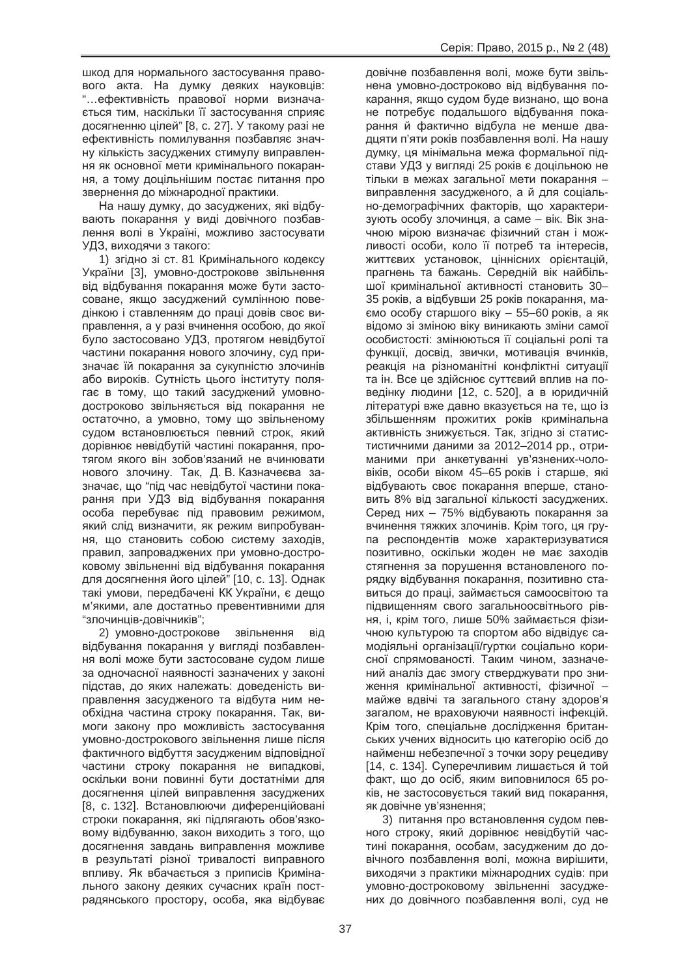шкод для нормального застосування правового акта. На думку деяких науковців: "...ефективність правової норми визначається тим, наскільки її застосування сприяє досягненню цілей" [8, с. 27]. У такому разі не ефективність помилування позбавляє значну кількість засуджених стимулу виправлення як основної мети кримінального покарання, а тому доцільнішим постає питання про звернення до міжнародної практики.

На нашу думку, до засуджених, які відбувають покарання у виді довічного позбавлення волі в Україні, можливо застосувати УДЗ, виходячи з такого:

1) згідно зі ст. 81 Кримінального кодексу України [3], умовно-дострокове звільнення від відбування покарання може бути застосоване, якщо засуджений сумлінною поведінкою і ставленням до праці довів своє виправлення, а у разі вчинення особою, до якої було застосовано УДЗ, протягом невідбутої частини покарання нового злочину, суд призначає їй покарання за сукупністю злочинів або вироків. Сутність цього інституту полягає в тому, що такий засуджений умовнодостроково звільняється від покарання не остаточно, а умовно, тому що звільненому судом встановлюється певний строк, який дорівнює невідбутій частині покарання, протягом якого він зобов'язаний не вчинювати нового злочину. Так, Д. В. Казначеєва зазначає, що "під час невідбутої частини покарання при УДЗ від відбування покарання особа перебуває під правовим режимом, який слід визначити, як режим випробування, що становить собою систему заходів, правил, запроваджених при умовно-достроковому звільненні від відбування покарання для досягнення його цілей" [10, с. 13]. Однак такі умови, передбачені КК України, є дещо м'якими, але достатньо превентивними для "злочинців-довічників";

2) умовно-дострокове звільнення від відбування покарання у вигляді позбавлення волі може бути застосоване судом лише за одночасної наявності зазначених у законі підстав, до яких належать: доведеність виправлення засудженого та відбута ним необхідна частина строку покарання. Так, вимоги закону про можливість застосування умовно-дострокового звільнення лише після фактичного відбуття засудженим відповідної частини строку покарання не випадкові, оскільки вони повинні бути достатніми для досягнення цілей виправлення засуджених [8, с. 132]. Встановлюючи диференційовані строки покарання, які підлягають обов'язковому відбуванню, закон виходить з того, що досягнення завдань виправлення можливе в результаті різної тривалості виправного впливу. Як вбачається з приписів Кримінального закону деяких сучасних країн пострадянського простору, особа, яка відбуває

довічне позбавлення волі, може бути звільнена умовно-достроково від відбування покарання, якщо судом буде визнано, що вона не потребує подальшого відбування покарання й фактично відбула не менше двадцяти п'яти років позбавлення волі. На нашу думку, ця мінімальна межа формальної підстави УДЗ у вигляді 25 років є доцільною не тільки в межах загальної мети покарання виправлення засудженого, а й для соціально-демографічних факторів, що характеризують особу злочинця, а саме – вік. Вік значною мірою визначає фізичний стан і можливості особи, коло її потреб та інтересів, життєвих установок, ціннісних орієнтацій, прагнень та бажань. Середній вік найбільшої кримінальної активності становить 30-35 років, а відбувши 25 років покарання, ма- $\epsilon$ мо особу старшого віку – 55–60 років, а як відомо зі зміною віку виникають зміни самої особистості: змінюються її соціальні ролі та функції, досвід, звички, мотивація вчинків, реакція на різноманітні конфліктні ситуації та ін. Все це здійснює суттєвий вплив на поведінку людини [12, с. 520], а в юридичній літературі вже давно вказується на те, що із збільшенням прожитих років кримінальна активність знижується. Так, згідно зі статистистичними даними за 2012-2014 рр., отриманими при анкетуванні ув'язнених-чоловіків, особи віком 45–65 років і старше, які відбувають своє покарання вперше, становить 8% від загальної кількості засуджених. Серед них – 75% відбувають покарання за вчинення тяжких злочинів. Крім того, ця група респондентів може характеризуватися позитивно, оскільки жоден не має заходів стягнення за порушення встановленого порядку відбування покарання, позитивно ставиться до праці, займається самоосвітою та підвищенням свого загальноосвітнього рівня, і, крім того, лише 50% займається фізичною культурою та спортом або відвідує самодіяльні організації/гуртки соціально корисної спрямованості. Таким чином, зазначений аналіз дає змогу стверджувати про зниження кримінальної активності, фізичної – майже вдвічі та загального стану здоров'я загалом, не враховуючи наявності інфекцій. Крім того, спеціальне дослідження британських учених відносить цю категорію осіб до найменш небезпечної з точки зору рецедиву [14, с. 134]. Суперечливим лишається й той факт, що до осіб, яким виповнилося 65 років, не застосовується такий вид покарання, як довічне ув'язнення;

3) питання про встановлення судом певного строку, який дорівнює невідбутій частині покарання, особам, засудженим до довічного позбавлення волі, можна вирішити, виходячи з практики міжнародних судів: при умовно-достроковому звільненні засуджених до довічного позбавлення волі, суд не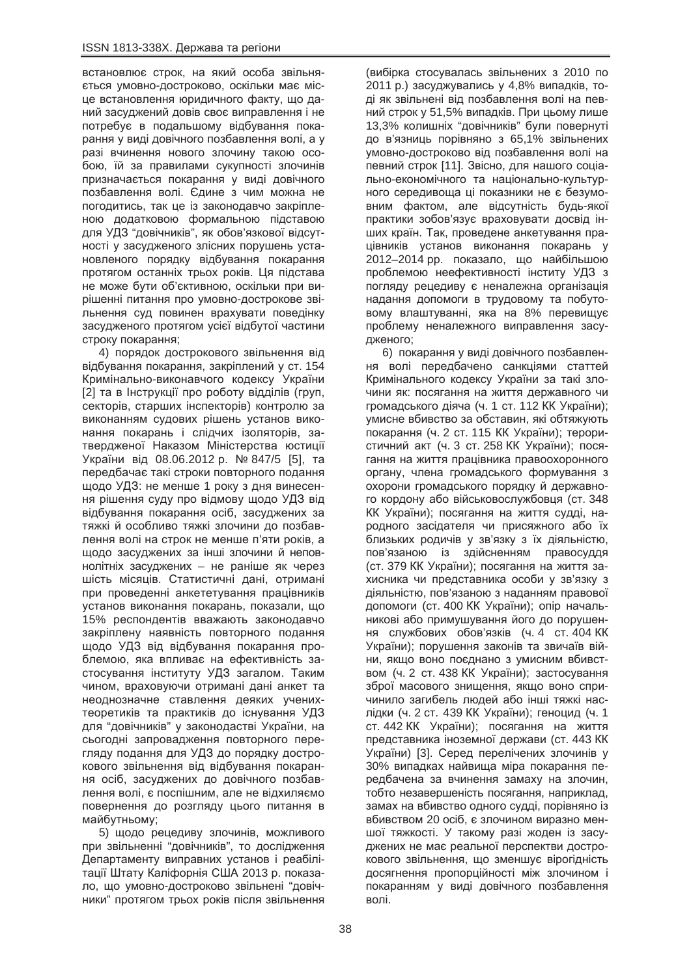встановлює строк, на який особа звільняється умовно-достроково, оскільки має місце встановлення юридичного факту, що даний засуджений довів своє виправлення і не потребує в подальшому відбування покарання у виді довічного позбавлення волі, а у разі вчинення нового злочину такою особою, їй за правилами сукупності злочинів призначається покарання у виді довічного позбавлення волі. Єдине з чим можна не погодитись, так це із законодавчо закріпленою додатковою формальною підставою для УДЗ "довічників", як обов'язкової відсутності у засудженого злісних порушень установленого порядку відбування покарання протягом останніх трьох років. Ця підстава не може бути об'єктивною, оскільки при вирішенні питання про умовно-дострокове звільнення суд повинен врахувати поведінку засудженого протягом усієї відбутої частини строку покарання:

4) порядок дострокового звільнення від відбування покарання, закріплений у ст. 154 Кримінально-виконавчого кодексу України [2] та в Інструкції про роботу відділів (груп, секторів, старших інспекторів) контролю за виконанням судових рішень установ виконання покарань і слідчих ізоляторів, затвердженої Наказом Міністерства юстиції України від 08.06.2012 р. № 847/5 [5], та передбачає такі строки повторного подання щодо УДЗ: не менше 1 року з дня винесення рішення суду про відмову щодо УДЗ від відбування покарання осіб, засуджених за тяжкі й особливо тяжкі злочини до позбавлення волі на строк не менше п'яти років, а щодо засуджених за інші злочини й неповнолітніх засуджених – не раніше як через шість місяців. Статистичні дані, отримані при проведенні анкететування працівників установ виконання покарань, показали, що 15% респондентів вважають законодавчо закріплену наявність повторного подання щодо УДЗ від відбування покарання проблемою, яка впливає на ефективність застосування інституту УДЗ загалом. Таким чином, враховуючи отримані дані анкет та неоднозначне ставлення деяких ученихтеоретиків та практиків до існування УДЗ для "довічників" у законодастві України, на сьогодні запровадження повторного перегляду подання для УДЗ до порядку дострокового звільнення від відбування покарання осіб, засуджених до довічного позбавлення волі, є поспішним, але не відхиляємо повернення до розгляду цього питання в майбутньому;

5) щодо рецедиву злочинів, можливого при звільненні "довічників", то дослідження Департаменту виправних установ і реабілітації Штату Каліфорнія США 2013 р. показало. що умовно-достроково звільнені "довічники" протягом трьох років після звільнення

(вибірка стосувалась звільнених з 2010 по 2011 p.) засуджувались у 4,8% випадків, тоді як звільнені від позбавлення волі на певний строк у 51,5% випадків. При цьому лише 13,3% колишніх "довічників" були повернуті до в'язниць порівняно з 65,1% звільнених умовно-достроково від позбавлення волі на певний строк [11]. Звісно, для нашого соціально-економічного та національно-культурного середивоща ці показники не є безумовним фактом, але відсутність будь-якої практики зобов'язує враховувати досвід інших країн. Так, проведене анкетування працівників установ виконання покарань у 2012-2014 pp. показало, що найбільшою проблемою неефективності інститу УДЗ з погляду рецедиву є неналежна організація надання допомоги в трудовому та побутовому влаштуванні, яка на 8% перевишує проблему неналежного виправлення засудженого:

6) покарання у виді довічного позбавлення волі передбачено санкціями статтей Кримінального кодексу України за такі злочини як: посягання на життя державного чи громадського діяча (ч. 1 ст. 112 КК України); умисне вбивство за обставин, які обтяжують покарання (ч. 2 ст. 115 КК України); терористичний акт (ч. 3 ст. 258 КК України); посягання на життя працівника правоохоронного органу, члена громадського формування з охорони громадського порядку й державного кордону або військовослужбовця (ст. 348 КК України); посягання на життя судді, народного засідателя чи присяжного або їх близьких родичів у зв'язку з їх діяльністю, пов'язаною із здійсненням правосуддя (ст. 379 КК України); посягання на життя захисника чи представника особи у зв'язку з діяльністю. пов'язаною з наданням правової допомоги (ст. 400 КК України); опір начальникові або примушування його до порушення службових обов'язків (ч. 4 ст. 404 КК України); порушення законів та звичаїв війни, якщо воно поєднано з умисним вбивством (ч. 2 ст. 438 КК України); застосування зброї масового знищення, якщо воно спричинило загибель людей або інші тяжкі наслідки (ч. 2 ст. 439 КК України); геноцид (ч. 1 ст. 442 КК України); посягання на життя представника іноземної держави (ст. 443 КК України) [3]. Серед перелічених злочинів у 30% випадках найвища міра покарання передбачена за вчинення замаху на злочин, тобто незавершеність посягання, наприклад, замах на вбивство одного судді, порівняно із вбивством 20 осіб, є злочином виразно меншої тяжкості. У такому разі жоден із засуджених не має реальної перспектви дострокового звільнення, що зменшує вірогідність досягнення пропорційності між злочином і покаранням у виді довічного позбавлення **BOLI**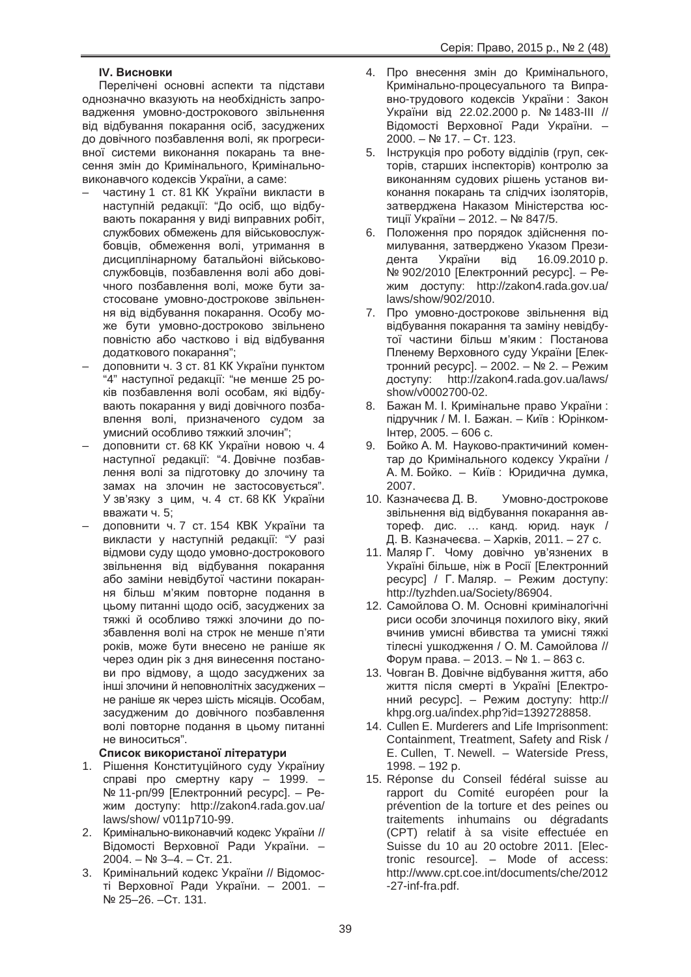# **IV. Висновки**

Перелічені основні аспекти та підстави однозначно вказують на необхідність запровадження умовно-дострокового звільнення від відбування покарання осіб, засуджених до довічного позбавлення волі, як прогресивної системи виконання покарань та внесення змін до Кримінального, Кримінальновиконавчого кодексів України, а саме:

- частину 1 ст. 81 КК України викласти в наступній редакції: "До осіб, що відбувають покарання у виді виправних робіт, службових обмежень для військовослужбовців, обмеження волі, утримання в дисциплінарному батальйоні військовослужбовців, позбавлення волі або довічного позбавлення волі, може бути застосоване умовно-дострокове звільнення від відбування покарання. Особу може бути умовно-достроково звільнено повністю або частково і від відбування додаткового покарання";
- доповнити ч. 3 ст. 81 КК України пунктом "4" наступної редакції: "не менше 25 років позбавлення волі особам, які відбувають покарання у виді довічного позбавлення волі, призначеного судом за умисний особливо тяжкий злочин";
- доповнити ст. 68 КК України новою ч. 4 наступної редакції: "4. Довічне позбавлення волі за підготовку до злочину та замах на злочин не застосовується". У зв'язку з цим, ч. 4 ст. 68 КК України вважати ч. 5;
- доповнити ч. 7 ст. 154 КВК України та викласти у наступній редакції: "У разі відмови суду щодо умовно-дострокового звільнення від відбування покарання або заміни невідбутої частини покарання більш м'яким повторне подання в цьому питанні шодо осіб. засуджених за тяжкі й особливо тяжкі злочини до позбавлення волі на строк не менше п'яти років, може бути внесено не раніше як через один рік з дня винесення постанови про відмову, а щодо засуджених за інші злочини й неповнолітніх засуджених – не раніше як через шість місяців. Особам, засудженим до довічного позбавлення волі повторне подання в цьому питанні не виноситься".

# Список використаної літератури

- 1. Рішення Конституційного суду Україниу справі про смертну кару – 1999. – № 11-рп/99 [Електронний ресурс]. – Режим доступу: http://zakon4.rada.gov.ua/ laws/show/ v011p710-99.
- 2. Кримінально-виконавчий кодекс України // Відомості Верховної Ради України. - $2004. - Ne$  3-4. – Ct. 21.
- 3. Кримінальний кодекс України // Відомості Верховної Ради України. – 2001. – Nº 25–26. – CT. 131.
- 4. Про внесення змін до Кримінального, Кримінально-процесуального та Виправно-трудового кодексів України: Закон України від 22.02.2000 р. № 1483-III // Відомості Верховної Ради України. – 2000. – № 17. – Ст. 123.
- 5. Інструкція про роботу відділів (груп, секторів, старших інспекторів) контролю за виконанням судових рішень установ виконання покарань та слідчих ізоляторів, затверджена Наказом Міністерства юстиції України - 2012. - № 847/5.
- 6. Положення про порядок здійснення помилування, затверджено Указом Президента України від 16.09.2010 р. № 902/2010 [Електронний ресурс]. – Режим доступу: http://zakon4.rada.gov.ua/ laws/show/902/2010.
- 7. Про умовно-дострокове звільнення від відбування покарання та заміну невідбутої частини більш м'яким : Постанова Пленему Верховного суду України [Електронний ресурс]. – 2002. – № 2. – Режим доступу: http://zakon4.rada.gov.ua/laws/ show/v0002700-02.
- 8. Бажан М. І. Кримінальне право України: підручник / М. І. Бажан. – Київ: Юрінком- $I$ HTep, 2005. – 606 c.
- 9. Бойко А. М. Науково-практичиний коментар до Кримінального кодексу України / А. М. Бойко. – Київ: Юридична думка, 2007.
- 10. Казначеєва Д. В. Умовно-дострокове звільнення від відбування покарання автореф. дис. ... канд. юрид. наук / Д. В. Казначеєва. – Харків, 2011. – 27 с.
- 11. Маляр Г. Чому довічно ув'язнених в Україні більше, ніж в Росії ГЕлектронний ресурс] / Г. Маляр. – Режим доступу: http://tyzhden.ua/Society/86904.
- 12. Самойлова О. М. Основні криміналогічні риси особи злочинця похилого віку, який вчинив умисні вбивства та умисні тяжкі тілесні ушкодження / О. М. Самойлова //  $\Phi$ орум права. – 2013. – № 1. – 863 с.
- 13. Човган В. Довічне відбування життя, або життя після смерті в Україні [Електро-ННИЙ ресурс]. – Режим доступу: http:// khpg.org.ua/index.php?id=1392728858.
- 14. Cullen E. Murderers and Life Imprisonment: Containment, Treatment, Safety and Risk / E. Cullen, T. Newell. – Waterside Press,  $1998. - 192 p.$
- 15. Réponse du Conseil fédéral suisse au rapport du Comité européen pour la prévention de la torture et des peines ou traitements inhumains ou dégradants (CPT) relatif à sa visite effectuée en Suisse du 10 au 20 octobre 2011. [Electronic resource]. – Mode of access: http://www.cpt.coe.int/documents/che/2012 -27-inf-fra.pdf.